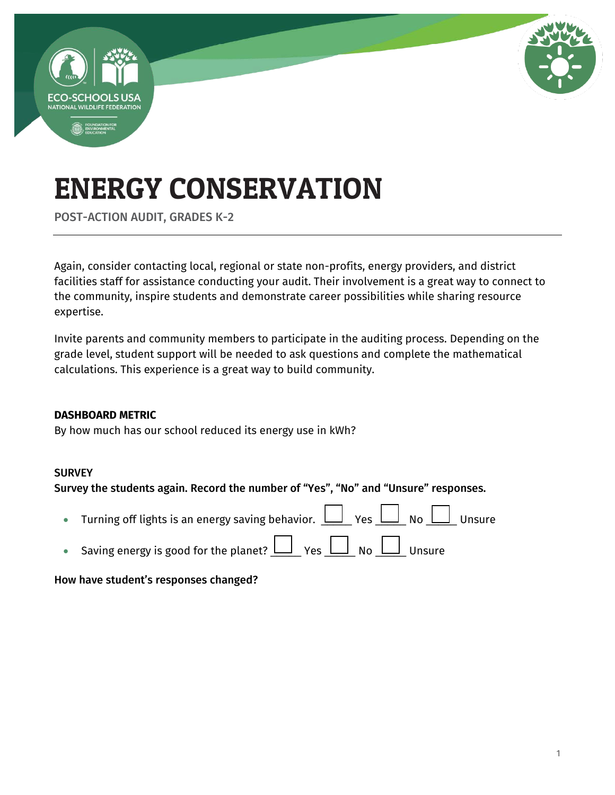

POST-ACTION AUDIT, GRADES K-2

Again, consider contacting local, regional or state non-profits, energy providers, and district facilities staff for assistance conducting your audit. Their involvement is a great way to connect to the community, inspire students and demonstrate career possibilities while sharing resource expertise.

Invite parents and community members to participate in the auditing process. Depending on the grade level, student support will be needed to ask questions and complete the mathematical calculations. This experience is a great way to build community.

#### **DASHBOARD METRIC**

By how much has our school reduced its energy use in kWh?

#### **SURVEY**

Survey the students again. Record the number of "Yes", "No" and "Unsure" responses.

- Turning off lights is an energy saving behavior.  $\bigsqcup_{i=1}^n$  Yes  $\bigsqcup_{i=1}^n$  No  $\bigsqcup_{i=1}^n$  Unsure
- Saving energy is good for the planet?  $\underline{\bigsqcup}_{Y}$  Yes  $\underline{\bigsqcup}_{N}$  No  $\underline{\bigsqcup}_{U}$  Unsure

#### How have student's responses changed?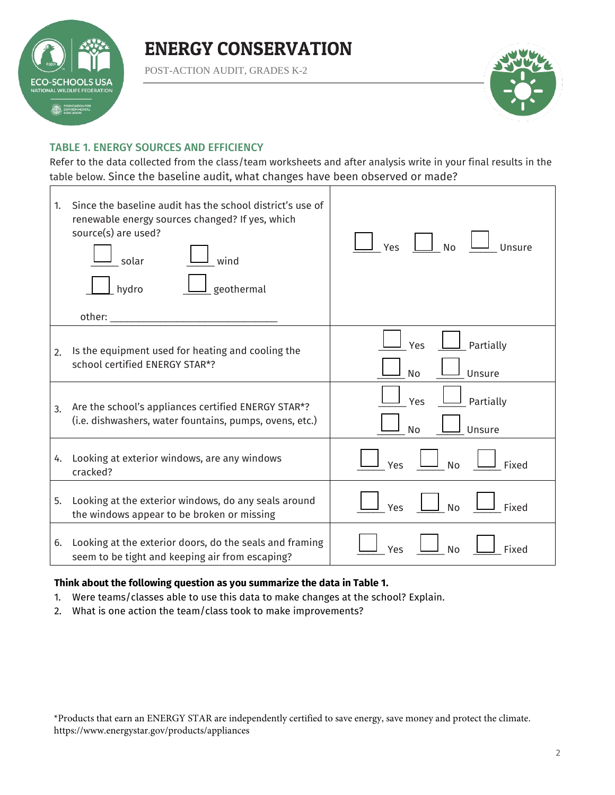

POST-ACTION AUDIT, GRADES K-2



#### TABLE 1. ENERGY SOURCES AND EFFICIENCY

Refer to the data collected from the class/team worksheets and after analysis write in your final results in the table below. Since the baseline audit, what changes have been observed or made?

| 1. | Since the baseline audit has the school district's use of<br>renewable energy sources changed? If yes, which<br>source(s) are used?<br>wind<br>solar<br>geothermal<br>hydro<br>other: when the control of the control of the control of the control of the control of the control of the control of the control of the control of the control of the control of the control of the control of the control of | <b>No</b><br>Unsure<br>Yes              |
|----|--------------------------------------------------------------------------------------------------------------------------------------------------------------------------------------------------------------------------------------------------------------------------------------------------------------------------------------------------------------------------------------------------------------|-----------------------------------------|
| 2. | Is the equipment used for heating and cooling the<br>school certified ENERGY STAR*?                                                                                                                                                                                                                                                                                                                          | Yes<br>Partially<br><b>No</b><br>Unsure |
| 3. | Are the school's appliances certified ENERGY STAR*?<br>(i.e. dishwashers, water fountains, pumps, ovens, etc.)                                                                                                                                                                                                                                                                                               | Partially<br>Yes<br><b>No</b><br>Unsure |
| 4. | Looking at exterior windows, are any windows<br>cracked?                                                                                                                                                                                                                                                                                                                                                     | <b>No</b><br>Fixed<br>Yes               |
| 5. | Looking at the exterior windows, do any seals around<br>the windows appear to be broken or missing                                                                                                                                                                                                                                                                                                           | <b>No</b><br>Fixed<br>Yes               |
| 6. | Looking at the exterior doors, do the seals and framing<br>seem to be tight and keeping air from escaping?                                                                                                                                                                                                                                                                                                   | Fixed<br>No<br>Yes                      |

#### **Think about the following question as you summarize the data in Table 1.**

- 1. Were teams/classes able to use this data to make changes at the school? Explain.
- 2. What is one action the team/class took to make improvements?

\*Products that earn an ENERGY STAR are independently certified to save energy, save money and protect the climate. https://www.energystar.gov/products/appliances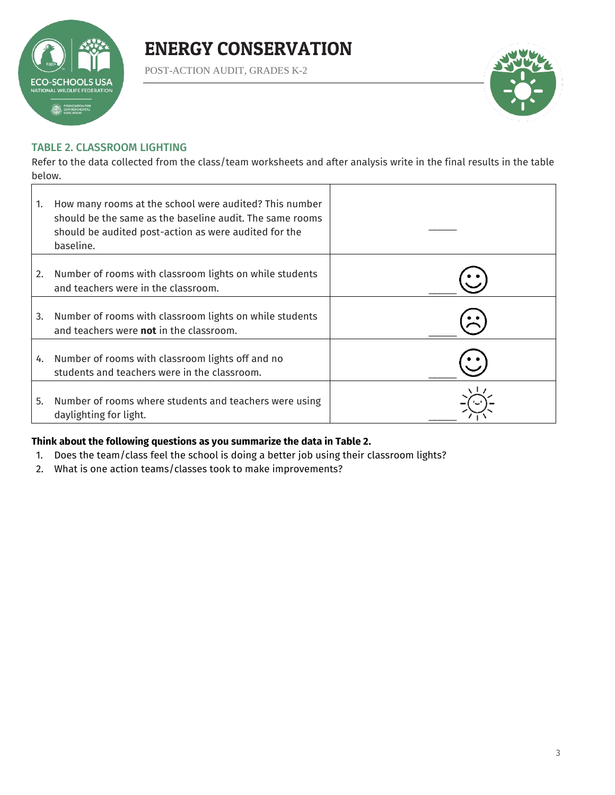

POST-ACTION AUDIT, GRADES K-2



#### TABLE 2. CLASSROOM LIGHTING

Refer to the data collected from the class/team worksheets and after analysis write in the final results in the table below.

| 1. | How many rooms at the school were audited? This number<br>should be the same as the baseline audit. The same rooms<br>should be audited post-action as were audited for the<br>baseline. |  |
|----|------------------------------------------------------------------------------------------------------------------------------------------------------------------------------------------|--|
| 2. | Number of rooms with classroom lights on while students<br>and teachers were in the classroom.                                                                                           |  |
| 3. | Number of rooms with classroom lights on while students<br>and teachers were not in the classroom.                                                                                       |  |
| 4. | Number of rooms with classroom lights off and no<br>students and teachers were in the classroom.                                                                                         |  |
| 5. | Number of rooms where students and teachers were using<br>daylighting for light.                                                                                                         |  |

#### **Think about the following questions as you summarize the data in Table 2.**

- 1. Does the team/class feel the school is doing a better job using their classroom lights?
- 2. What is one action teams/classes took to make improvements?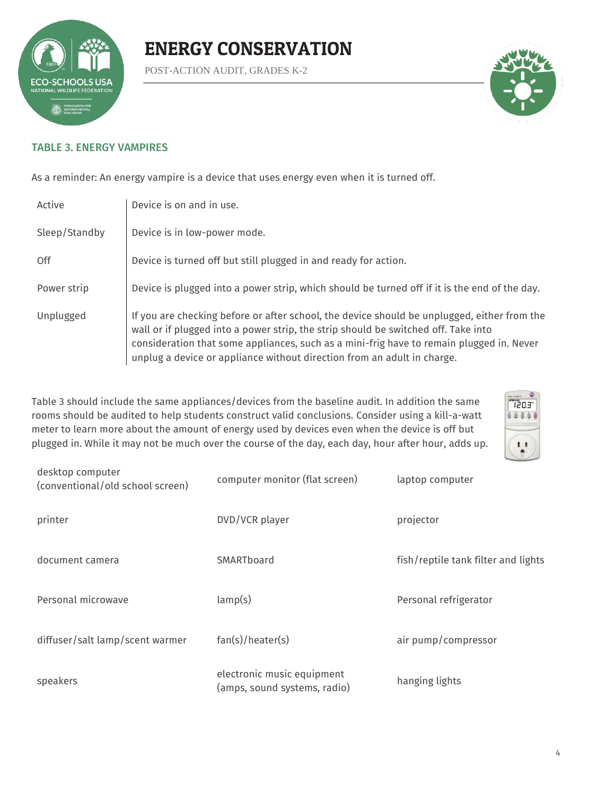

POST-ACTION AUDIT, GRADES K-2



#### TABLE 3. ENERGY VAMPIRES

As a reminder: An energy vampire is a device that uses energy even when it is turned off.

| Active        | Device is on and in use.                                                                                                                                                                                                                                                                                                                                 |
|---------------|----------------------------------------------------------------------------------------------------------------------------------------------------------------------------------------------------------------------------------------------------------------------------------------------------------------------------------------------------------|
| Sleep/Standby | Device is in low-power mode.                                                                                                                                                                                                                                                                                                                             |
| 0ff           | Device is turned off but still plugged in and ready for action.                                                                                                                                                                                                                                                                                          |
| Power strip   | Device is plugged into a power strip, which should be turned off if it is the end of the day.                                                                                                                                                                                                                                                            |
| Unplugged     | If you are checking before or after school, the device should be unplugged, either from the<br>wall or if plugged into a power strip, the strip should be switched off. Take into<br>consideration that some appliances, such as a mini-frig have to remain plugged in. Never<br>unplug a device or appliance without direction from an adult in charge. |

Table 3 should include the same appliances/devices from the baseline audit. In addition the same rooms should be audited to help students construct valid conclusions. Consider using a kill-a-watt meter to learn more about the amount of energy used by devices even when the device is off but plugged in. While it may not be much over the course of the day, each day, hour after hour, adds up.



| desktop computer<br>(conventional/old school screen) | computer monitor (flat screen)                             | laptop computer                     |
|------------------------------------------------------|------------------------------------------------------------|-------------------------------------|
| printer                                              | DVD/VCR player                                             | projector                           |
| document camera                                      | SMARTboard                                                 | fish/reptile tank filter and lights |
| Personal microwave                                   | lamp(s)                                                    | Personal refrigerator               |
| diffuser/salt lamp/scent warmer                      | fan(s)/heater(s)                                           | air pump/compressor                 |
| speakers                                             | electronic music equipment<br>(amps, sound systems, radio) | hanging lights                      |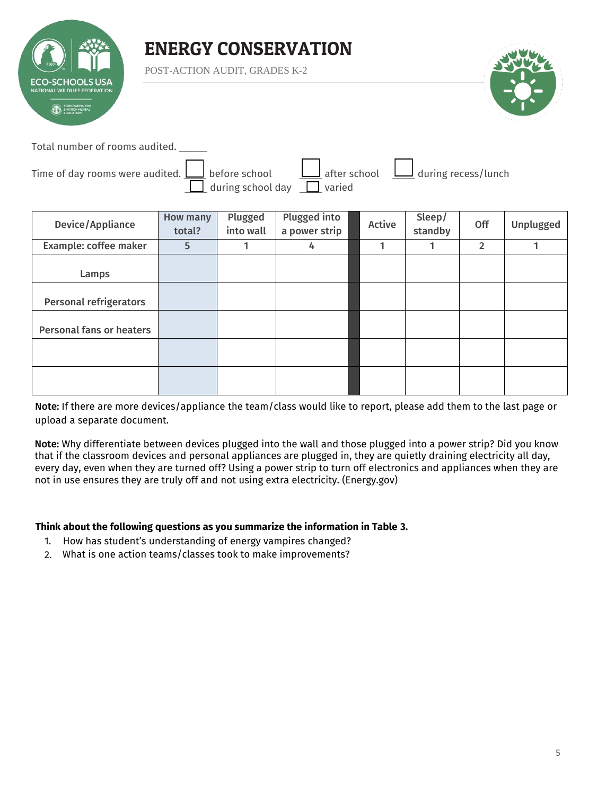

POST-ACTION AUDIT, GRADES K-2



Total number of rooms audited. \_\_\_\_\_

| Time of day rooms were audited. $\bigsqcup$ before school |                                 |  | $\Box$ after school $\Box$ during recess/lunch |
|-----------------------------------------------------------|---------------------------------|--|------------------------------------------------|
|                                                           | during school day $\Box$ varied |  |                                                |

| Device/Appliance                | How many<br>total? | Plugged<br>into wall | Plugged into<br>a power strip | Active | Sleep/<br>standby | Off            | Unplugged |
|---------------------------------|--------------------|----------------------|-------------------------------|--------|-------------------|----------------|-----------|
| Example: coffee maker           | 5                  |                      | 4                             |        | 1                 | $\overline{2}$ |           |
| Lamps                           |                    |                      |                               |        |                   |                |           |
| <b>Personal refrigerators</b>   |                    |                      |                               |        |                   |                |           |
| <b>Personal fans or heaters</b> |                    |                      |                               |        |                   |                |           |
|                                 |                    |                      |                               |        |                   |                |           |
|                                 |                    |                      |                               |        |                   |                |           |

Note: If there are more devices/appliance the team/class would like to report, please add them to the last page or upload a separate document.

Note: Why differentiate between devices plugged into the wall and those plugged into a power strip? Did you know that if the classroom devices and personal appliances are plugged in, they are quietly draining electricity all day, every day, even when they are turned off? Using a power strip to turn off electronics and appliances when they are not in use ensures they are truly off and not using extra electricity. (Energy.gov)

#### **Think about the following questions as you summarize the information in Table 3.**

- 1. How has student's understanding of energy vampires changed?
- 2. What is one action teams/classes took to make improvements?